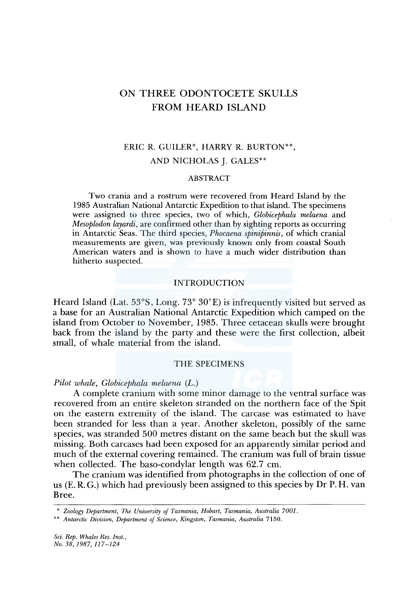# ON THREE ODONTOCETE SKULLS FROM HEARD ISLAND

# ERIC R. GUILER\*, HARRY R. BURTON\*\*, AND NICHOLAS J. GALES\*\*

### ABSTRACT

Two crania and a rostrum were recovered from Heard Island by the 1985 Australian National Antarctic Expedition to that island. The specimens were assigned to three species, two of which, *Globicephala melaena* and *Mesoplodon layardi,* are confirmed other than by sighting reports as occurring in Antarctic Seas. The third species, *Phocaena spinipinnis,* of which cranial measurements are given, was previously known only from coastal South American waters and is shown to have a much wider distribution than hitherto suspected.

### INTRODUCTION

Heard Island (Lat.  $53^{\circ}$ S, Long.  $73^{\circ}$   $30'$ E) is infrequently visited but served as a base for an Australian National Antarctic Expedition which camped on the island from October to November, 1985. Three cetacean skulls were brought back from the island by the party and these were the first collection, albeit small, of whale material from the island.

## THE SPECIMENS

*Pilot whale, Globicephala melaena* (L.)

A complete cranium with some minor damage to the ventral surface was recovered from an entire skeleton stranded on the northern face of the Spit on the eastern extremity of the island. The carcase was estimated to have been stranded for less than a year. Another skeleton, possibly of the same species, was stranded 500 metres distant on the same beach but the skull was missing. Both carcases had been exposed for an apparently similar period and much of the external covering remained. The cranium was full of brain tissue when collected. The baso-condylar length was 62.7 cm.

The cranium was identified from photographs in the collection of one of us (E. R. G.) which had previously been assigned to this species by Dr P.H. van Bree.

<sup>\*</sup> *Zoology Department, The University of Tasmania, Hobart, Tasmania, Australia 7001.* 

<sup>\*\*</sup> *Antarctic Division, Department of Science, Kingston, Tasmania, Australia* 7150.

*Sci. Rep. Whales Res. Inst., No. 38, 1987, 117-124*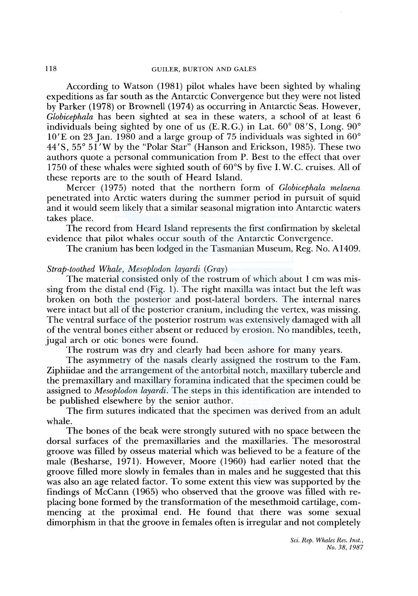According to Watson (1981) pilot whales have been sighted by whaling expeditions as far south as the Antarctic Convergence but they were not listed by Parker ( 1978) or Brownell ( 197 4) as occurring in Antarctic Seas. However, *Globicephala* has been sighted at sea in these waters, a school of at least 6 individuals being sighted by one of us (E.R.G.) in Lat. 60° OS'S, Long. 90°  $10<sup>′</sup>E$  on 23 Jan. 1980 and a large group of 75 individuals was sighted in 60 $<sup>°</sup>$ </sup> 44'S, 55° 51 'W by the "Polar Star" (Hanson and Erickson, 1985). These two authors quote a personal communication from P. Best to the effect that over 1750 of these whales were sighted south of 60°S by five I. W. C. cruises. All of these reports are to the south of Heard Island.

Mercer (1975) noted that the northern form of *Globicephala melaena*  penetrated into Arctic waters during the summer period in pursuit of squid and it would seem likely that a similar seasonal migration into Antarctic waters takes place.

The record from Heard Island represents the first confirmation by skeletal evidence that pilot whales occur south of the Antarctic Convergence.

The cranium has been lodged in the Tasmanian Museum, Reg. No. A1409.

## *Strap-toothed Whale, Mesoplodon layardi* (Gray)

The material consisted only of the rostrum of which about 1 cm was missing from the distal end (Fig. 1). The right maxilla was intact but the left was broken on both the posterior and post-lateral borders. The internal nares were intact but all of the posterior cranium, including the vertex, was missing. The ventral surface of the posterior rostrum was extensively damaged with all of the ventral bones either absent or reduced by erosion. No mandibles, teeth, jugal arch or otic bones were found.

The rostrum was dry and clearly had been ashore for many years.

The asymmetry of the nasals clearly assigned the rostrum to the Fam. Ziphiidae and the arrangement of the antorbital notch, maxillary tubercle and the premaxillary and maxillary foramina indicated that the specimen could be assigned to *Mesoplodon layardi.* The steps in this identification are intended to be published elsewhere by the senior author.

The firm sutures indicated that the specimen was derived from an adult whale.

The bones of the beak were strongly sutured with no space between the dorsal surfaces of the premaxillaries and the maxillaries. The mesorostral groove was filled by osseus material which was believed to be a feature of the male (Besharse, 1971). However, Moore (1960) had earlier noted that the groove filled more slowly in females than in males and he suggested that this was also an age related factor. To some extent this view was supported by the findings of McCann (1965) who observed that the groove was filled with replacing bone formed by the transformation of the mesethmoid cartilage, commencing at the proximal end. He found that there was some sexual dimorphism in that the groove in females often is irregular and not completely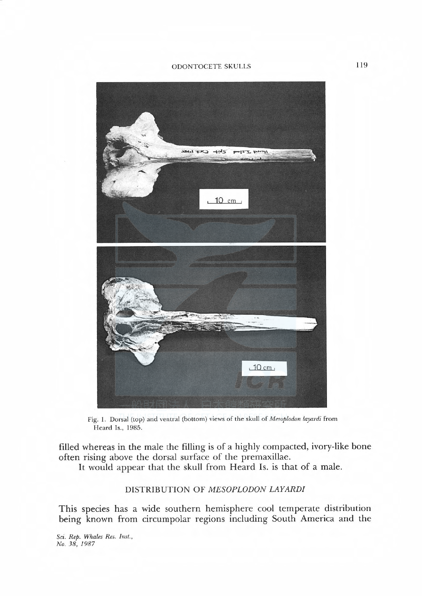#### ODONTOCETE SKULLS



Fig. 1. Dorsal (top) and ventral (bottom) views of the skull of Mesoplodon layardi from Heard Is., 1985.

filled whereas in the male the filling is of a highly compacted, ivory-like bone often rising above the dorsal surface of the premaxillae.

It would appear that the skull from Heard Is. is that of a male.

# DISTRIBUTION OF MESOPLODON LAYARDI

This species has a wide southern hemisphere cool temperate distribution being known from circumpolar regions including South America and the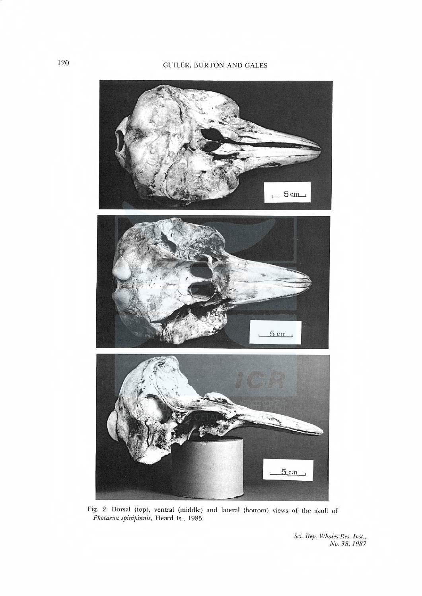# 120 GUILER, BURTON AND GALES



Phocaena spinipinnis, Heard Is., 1985 Fig. 2. Dorsal (top), ventral (middle) and lateral (bottom) views of the skull of

No. 38, 1987 Sci. Kep. Whales Res. Inst.,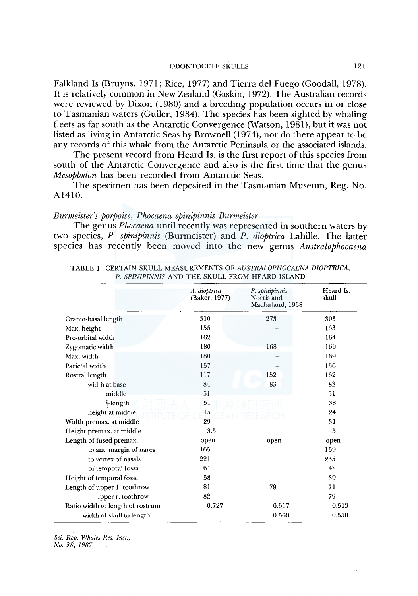#### ODONTOCETESKULLS 121

Falkland Is (Bruyns, 1971; Rice, 1977) and Tierra del Fuego (Goodall, 1978). It is relatively common in New Zealand (Gaskin, 1972). The Australian records were reviewed by Dixon (1980) and a breeding population occurs in or close to Tasmanian waters (Guiler, 1984). The species has been sighted by whaling fleets as far south as the Antarctic Convergence (Watson, 1981), but it was not listed as living in Antarctic Seas by Brownell (1974), nor do there appear to be any records of this whale from the Antarctic Peninsula or the associated islands.

The present record from Heard Is. is the first report of this species from south of the Antarctic Convergence and also is the first time that the genus *Mesoplodon* has been recorded from Antarctic Seas.

The specimen has been deposited in the Tasmanian Museum, Reg. No. Al410.

### *Burmeister's porpoise, Phocaena spinipinnis Burmeister*

The genus *Phocaena* until recently was represented in southern waters by two species, *P. spinipinnis* (Burmeister) and *P. dioptrica* Lahille. The latter species has recently been moved into the new genus *Australophocaena* 

|                                  | A. dioptrica<br>(Baker, 1977) | P. spinipinnis<br>Norris and<br>Macfarland, 1958 | Heard Is.<br>skull |
|----------------------------------|-------------------------------|--------------------------------------------------|--------------------|
| Cranio-basal length              | 310                           | 273                                              | 303                |
| Max. height                      | 155                           |                                                  | 163                |
| Pre-orbital width                | 162                           |                                                  | 164                |
| Zygomatic width                  | 180                           | 168                                              | 169                |
| Max. width                       | 180                           |                                                  | 169                |
| Parietal width                   | 157                           |                                                  | 156                |
| Rostral length                   | 117                           | 152                                              | 162                |
| width at base                    | 84                            | 83                                               | 82                 |
| middle                           | 51                            |                                                  | 51                 |
| $\frac{3}{4}$ length             | 51                            |                                                  | 38                 |
| height at middle                 | 15                            |                                                  | 24                 |
| Width premax. at middle          | 29                            |                                                  | 31                 |
| Height premax. at middle         | 3.5                           |                                                  | 5                  |
| Length of fused premax.          | open                          | open                                             | open               |
| to ant. margin of nares          | 165                           |                                                  | 159                |
| to vertex of nasals              | 221                           |                                                  | 235                |
| of temporal fossa                | 61                            |                                                  | 42                 |
| Height of temporal fossa         | 58                            |                                                  | 39                 |
| Length of upper 1. toothrow      | 81                            | 79                                               | 71                 |
| upper r. toothrow                | 82                            |                                                  | 79                 |
| Ratio width to length of rostrum | 0.727                         | 0.517                                            | 0.513              |
| width of skull to length         |                               | 0.560                                            | 0.550              |

TABLE 1. CERTAIN SKULL MEASUREMENTS OF *AUSTRALOPHOCAENA DIOPTRICA, P. SPINIPINNIS* AND THE SKULL FROM HEARD ISLAND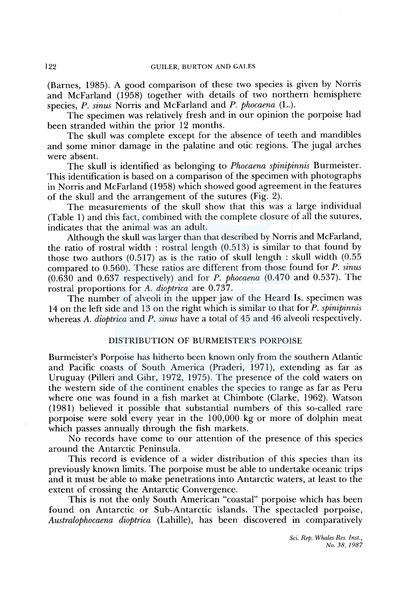(Barnes, 1985). A good comparison of these two species is given by Norris and McFarland (1958) together with details of two northern hemisphere species, *P. sinus* Norris and McFarland and *P. phocaena* (L.).

The specimen was relatively fresh and in our opinion the porpoise had been stranded within the prior 12 months.

The skull was complete except for the absence of teeth and mandibles and some minor damage in the palatine and otic regions. The jugal arches were absent.

The skull is identified as belonging to *Phocaena spinipinnis* Burmeister. This identification is based on a comparison of the specimen with photographs in Norris and McFarland (1958) which showed good agreement in the features of the skull and the arrangement of the sutures (Fig. 2).

The measurements of the skull show that this was a large individual (Table 1) and this fact, combined with the complete closure of all the sutures, indicates that the animal was an adult.

Although the skull was larger than that described by Norris and McFarland, the ratio of rostral width : rostral length (0.513) is similar to that found by those two authors (0.517) as is the ratio of skull length : skull width (0.55 compared to 0.560). These ratios are different from those found for *P. sinus*  (0.630 and 0.637 respectively) and for *P. phocaena* (0.470 and 0.537). The rostral proportions for A. *dioptrica* are 0.737.

The number of alveoli in the upper jaw of the Heard Is. specimen was 14 on the left side and 13 on the right which is similar to that for *P. spinipinnis*  whereas *A. dioptrica* and *P. sinus* have a total of 45 and 46 alveoli respectively.

## DISTRIBUTION OF BURMEISTER'S PORPOISE

Burmeister's Porpoise has hitherto been known only from the southern Atlantic and Pacific coasts of South America (Praderi, 1971), extending as far as Uruguay (Pilleri and Gihr, 1972, 1975). The presence of the cold waters on the western side of the continent enables the species to range as far as Peru where one was found in a fish market at Chimbote (Clarke, 1962). Watson ( 1981) believed it possible that substantial numbers of this so-called rare porpoise were sold every year in the 100,000 kg or more of dolphin meat which passes annually through the fish markets.

No records have come to our attention of the presence of this species around the Antarctic Peninsula.

This record is evidence of a wider distribution of this species than its previously known limits. The porpoise must be able to undertake oceanic trips and it must be able to make penetrations into Antarctic waters, at least to the extent of crossing the Antarctic Convergence.

This is not the only South American "coastal" porpoise which has been found on Antarctic or Sub-Antarctic islands. The spectacled porpoise, *Australophocaena dioptrica* (Lahille), has been discovered in comparatively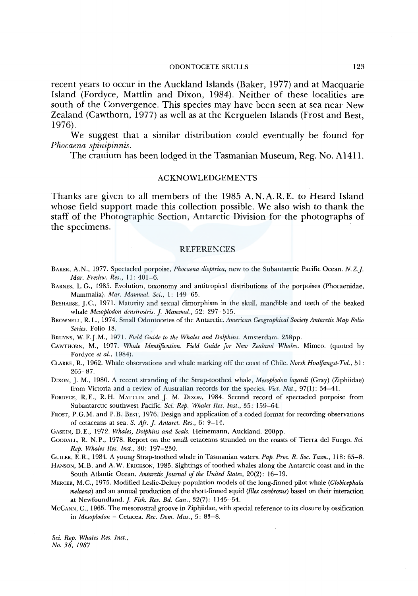### ODONTOCETESKULLS 123

recent years to occur in the Auckland Islands (Baker, 1977) and at Macquarie Island (Fordyce, Mattlin and Dixon, 1984). Neither of these localities are south of the Convergence. This species may have been seen at sea near New Zealand (Cawthorn, 1977) as well as at the Kerguelen Islands (Frost and Best, 1976).

We suggest that a similar distribution could eventually be found for *Phocaena spinipinnis.* 

The cranium has been lodged in the Tasmanian Museum, Reg. No. Al411.

## ACKNOWLEDGEMENTS

Thanks are given to all members of the 1985 A. N. A. R. E. to Heard Island whose field support made this collection possible. We also wish to thank the staff of the Photographic Section, Antarctic Division for the photographs of the specimens.

### **REFERENCES**

- BAKER, A. N., 1977. Spectacled porpoise, *Phocaena dioptrica,* new to the Subantarctic Pacific Ocean. N. *Z.J. Mar. Freshw. Res.,* 11: 401-6.
- BARNES, L. G., 1985. Evolution, taxonomy and antitropical distributions of the porpoises (Phocaenidae, Mammalia). *Mar. Mammal. Sci.,* 1: 149-65.
- BESHARSE, J.C., 1971. Maturity and sexual dimorphism in the skull, mandible and teeth of the beaked whale *Mesoplodon densirostris.]. Mammal.,* 52: 297-315.
- BROWNELL, R. L., 1974. Small Odontocetes of the Antarctic. *American Geographical Society Antarctic Map Folio Series.* Folio 18.

BRUYNS, W.F.J.M., 1971. *Field Guide to the Whales and Dolphins.* Amsterdam. 258pp.

- CAWTHORN, M., 1977. *Whale Identification. Field Guide for New Zealand Whales.* Mimeo. (quoted by Fordyce *et al.,* 1984).
- CLARKE, R., 1962. Whale observations and whale marking off the coast of Chile. *Norsk Hvalfangst-Tid.,* 51: 265-87.

DIXON, J. M., 1980. A recent stranding of the Strap-toothed whale, *Mesoplodon layardi* (Gray) (Ziphiidae) from Victoria and a review of Australian records for the species. *Viet. Nat.,* 97(1): 34-41.

FORDYCE, R.E., R.H. MATTLIN and J. M. DIXON, 1984. Second record of spectacled porpoise from Subantarctic southwest Pacific. *Sci. Rep. Whales Res. Inst.,* 35: 159-64.

FROST, P.G.M. and P.B. BEST, 1976. Design and application of a coded format for recording observations of cetaceans at sea. *S. Afr.]. Antarct. Res.,* 6: 9-14.

GASKIN, D.E., 1972. *Whales, Dolphins and Seals.* Heinemann, Auckland. 200pp.

GooDALL, R. N.P., 1978. Report on the small cetaceans stranded on the coasts of Tierra de! Fuego. *Sci. Rep. Whales Res. Inst.,* 30: 197-230.

GUILER, E. R., 1984. A young Strap-toothed whale in Tasmanian waters. *Pap. Proc. R. Soc. Tasm.,* 118: 65-8.

HANSON, M. B. and A. W. ERICKSON, 1985. Sightings of toothed whales along the Antarctic coast and in the South Atlantic Ocean. *Antarctic journal of the United States,* 20(2): 16-19.

MERCER, M. C., 1975. Modified Leslie-Delury population models of the long-finned pilot whale *(Globicephala melaena)* and an annual production of the short-finned squid *(lllex cerebrosus)* based on their interaction at Newfoundland.]. *Fish. Res. Bd. Can.,* 32(7): 1145-54.

McCANN, C., 1965. The mesorostral groove in Ziphiidae, with special reference to its closure by ossification in *Mesoplodon* - Cetacea. *Ree. Dom. Mus.,* 5: 83-8.